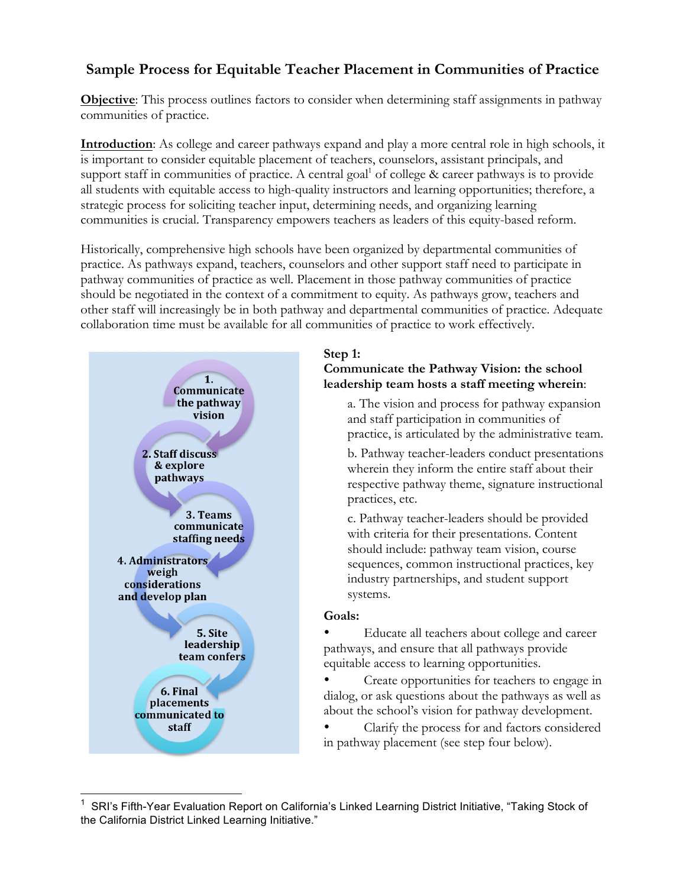# **Sample Process for Equitable Teacher Placement in Communities of Practice**

**Objective**: This process outlines factors to consider when determining staff assignments in pathway communities of practice.

**Introduction**: As college and career pathways expand and play a more central role in high schools, it is important to consider equitable placement of teachers, counselors, assistant principals, and support staff in communities of practice. A central goal of college  $\&$  career pathways is to provide all students with equitable access to high-quality instructors and learning opportunities; therefore, a strategic process for soliciting teacher input, determining needs, and organizing learning communities is crucial. Transparency empowers teachers as leaders of this equity-based reform.

Historically, comprehensive high schools have been organized by departmental communities of practice. As pathways expand, teachers, counselors and other support staff need to participate in pathway communities of practice as well. Placement in those pathway communities of practice should be negotiated in the context of a commitment to equity. As pathways grow, teachers and other staff will increasingly be in both pathway and departmental communities of practice. Adequate collaboration time must be available for all communities of practice to work effectively.



## **Step 1: Communicate the Pathway Vision: the school leadership team hosts a staff meeting wherein**:

a. The vision and process for pathway expansion and staff participation in communities of practice, is articulated by the administrative team.

b. Pathway teacher-leaders conduct presentations wherein they inform the entire staff about their respective pathway theme, signature instructional practices, etc.

c. Pathway teacher-leaders should be provided with criteria for their presentations. Content should include: pathway team vision, course sequences, common instructional practices, key industry partnerships, and student support systems.

#### **Goals:**

• Educate all teachers about college and career pathways, and ensure that all pathways provide equitable access to learning opportunities.

• Create opportunities for teachers to engage in dialog, or ask questions about the pathways as well as about the school's vision for pathway development.

• Clarify the process for and factors considered in pathway placement (see step four below).

 $\frac{1}{1}$  SRI's Fifth-Year Evaluation Report on California's Linked Learning District Initiative, "Taking Stock of the California District Linked Learning Initiative."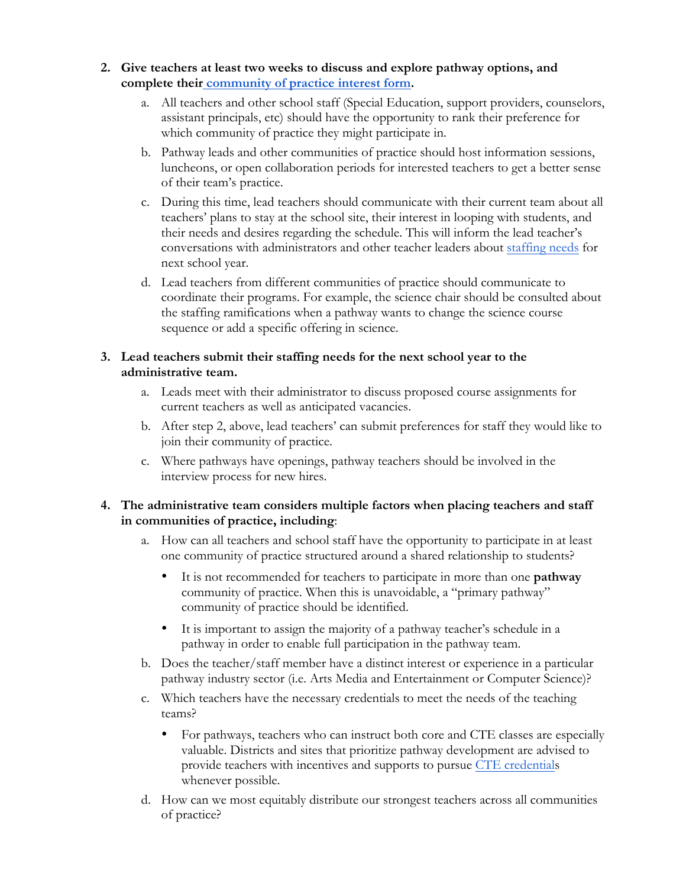- **2. Give teachers at least two weeks to discuss and explore pathway options, and complete their community of practice interest form.** 
	- a. All teachers and other school staff (Special Education, support providers, counselors, assistant principals, etc) should have the opportunity to rank their preference for which community of practice they might participate in.
	- b. Pathway leads and other communities of practice should host information sessions, luncheons, or open collaboration periods for interested teachers to get a better sense of their team's practice.
	- c. During this time, lead teachers should communicate with their current team about all teachers' plans to stay at the school site, their interest in looping with students, and their needs and desires regarding the schedule. This will inform the lead teacher's conversations with administrators and other teacher leaders about staffing needs for next school year.
	- d. Lead teachers from different communities of practice should communicate to coordinate their programs. For example, the science chair should be consulted about the staffing ramifications when a pathway wants to change the science course sequence or add a specific offering in science.

### **3. Lead teachers submit their staffing needs for the next school year to the administrative team.**

- a. Leads meet with their administrator to discuss proposed course assignments for current teachers as well as anticipated vacancies.
- b. After step 2, above, lead teachers' can submit preferences for staff they would like to join their community of practice.
- c. Where pathways have openings, pathway teachers should be involved in the interview process for new hires.

### **4. The administrative team considers multiple factors when placing teachers and staff in communities of practice, including**:

- a. How can all teachers and school staff have the opportunity to participate in at least one community of practice structured around a shared relationship to students?
	- It is not recommended for teachers to participate in more than one **pathway** community of practice. When this is unavoidable, a "primary pathway" community of practice should be identified.
	- It is important to assign the majority of a pathway teacher's schedule in a pathway in order to enable full participation in the pathway team.
- b. Does the teacher/staff member have a distinct interest or experience in a particular pathway industry sector (i.e. Arts Media and Entertainment or Computer Science)?
- c. Which teachers have the necessary credentials to meet the needs of the teaching teams?
	- For pathways, teachers who can instruct both core and CTE classes are especially valuable. Districts and sites that prioritize pathway development are advised to provide teachers with incentives and supports to pursue CTE credentials whenever possible.
- d. How can we most equitably distribute our strongest teachers across all communities of practice?